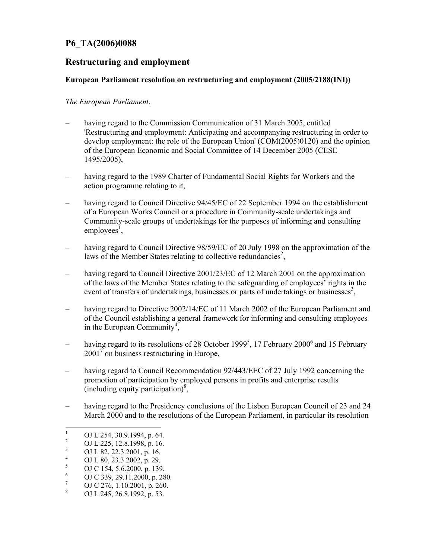## P6\_TA(2006)0088

## Restructuring and employment

## European Parliament resolution on restructuring and employment (2005/2188(INI))

## The European Parliament,

- having regard to the Commission Communication of 31 March 2005, entitled 'Restructuring and employment: Anticipating and accompanying restructuring in order to develop employment: the role of the European Union' (COM(2005)0120) and the opinion of the European Economic and Social Committee of 14 December 2005 (CESE 1495/2005),
- having regard to the 1989 Charter of Fundamental Social Rights for Workers and the action programme relating to it,
- having regard to Council Directive 94/45/EC of 22 September 1994 on the establishment of a European Works Council or a procedure in Community-scale undertakings and Community-scale groups of undertakings for the purposes of informing and consulting employees<sup>1</sup>,
- having regard to Council Directive 98/59/EC of 20 July 1998 on the approximation of the laws of the Member States relating to collective redundancies<sup>2</sup>,
- having regard to Council Directive 2001/23/EC of 12 March 2001 on the approximation of the laws of the Member States relating to the safeguarding of employees' rights in the event of transfers of undertakings, businesses or parts of undertakings or businesses<sup>3</sup>,
- having regard to Directive 2002/14/EC of 11 March 2002 of the European Parliament and of the Council establishing a general framework for informing and consulting employees in the European Community<sup>4</sup>,
- having regard to its resolutions of 28 October 1999<sup>5</sup>, 17 February 2000<sup>6</sup> and 15 February  $2001^7$  on business restructuring in Europe,
- having regard to Council Recommendation 92/443/EEC of 27 July 1992 concerning the promotion of participation by employed persons in profits and enterprise results (including equity participation) $\frac{8}{2}$ ,
- having regard to the Presidency conclusions of the Lisbon European Council of 23 and 24 March 2000 and to the resolutions of the European Parliament, in particular its resolution

<sup>|&</sup>lt;br>|<br>| OJ L 254, 30.9.1994, p. 64.

<sup>2</sup> OJ L 225, 12.8.1998, p. 16.

<sup>3</sup> OJ L 82, 22.3.2001, p. 16.

<sup>4</sup> OJ L 80, 23.3.2002, p. 29.

<sup>5</sup> OJ C 154, 5.6.2000, p. 139.

<sup>6</sup> OJ C 339, 29.11.2000, p. 280.

<sup>7</sup> OJ C 276, 1.10.2001, p. 260.

<sup>8</sup> OJ L 245, 26.8.1992, p. 53.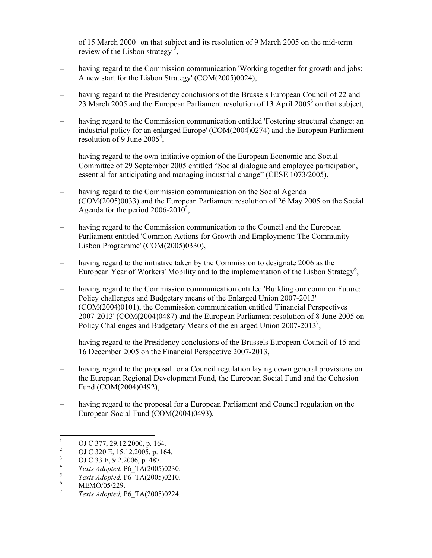of 15 March 2000<sup>1</sup> on that subject and its resolution of 9 March 2005 on the mid-term review of the Lisbon strategy<sup>2</sup>,

- having regard to the Commission communication 'Working together for growth and jobs: A new start for the Lisbon Strategy' (COM(2005)0024),
- having regard to the Presidency conclusions of the Brussels European Council of 22 and 23 March 2005 and the European Parliament resolution of 13 April 2005<sup>3</sup> on that subject,
- having regard to the Commission communication entitled 'Fostering structural change: an industrial policy for an enlarged Europe' (COM(2004)0274) and the European Parliament resolution of 9 June 2005<sup>4</sup>,
- having regard to the own-initiative opinion of the European Economic and Social Committee of 29 September 2005 entitled "Social dialogue and employee participation, essential for anticipating and managing industrial change" (CESE 1073/2005),
- having regard to the Commission communication on the Social Agenda (COM(2005)0033) and the European Parliament resolution of 26 May 2005 on the Social Agenda for the period 2006-2010<sup>5</sup>,
- having regard to the Commission communication to the Council and the European Parliament entitled 'Common Actions for Growth and Employment: The Community Lisbon Programme' (COM(2005)0330),
- having regard to the initiative taken by the Commission to designate 2006 as the European Year of Workers' Mobility and to the implementation of the Lisbon Strategy<sup>6</sup>,
- having regard to the Commission communication entitled 'Building our common Future: Policy challenges and Budgetary means of the Enlarged Union 2007-2013' (COM(2004)0101), the Commission communication entitled 'Financial Perspectives 2007-2013' (COM(2004)0487) and the European Parliament resolution of 8 June 2005 on Policy Challenges and Budgetary Means of the enlarged Union 2007-2013<sup>7</sup>,
- having regard to the Presidency conclusions of the Brussels European Council of 15 and 16 December 2005 on the Financial Perspective 2007-2013,
- having regard to the proposal for a Council regulation laying down general provisions on the European Regional Development Fund, the European Social Fund and the Cohesion Fund (COM(2004)0492),
- having regard to the proposal for a European Parliament and Council regulation on the European Social Fund (COM(2004)0493),

<sup>|&</sup>lt;br>|<br>| OJ C 377, 29.12.2000, p. 164.

<sup>2</sup> OJ C 320 E, 15.12.2005, p. 164.

<sup>3</sup> OJ C 33 E, 9.2.2006, p. 487.

<sup>4</sup> Texts Adopted, P6\_TA(2005)0230.

<sup>5</sup> Texts Adopted, P6\_TA(2005)0210.

<sup>6</sup> MEMO/05/229.

<sup>7</sup> Texts Adopted, P6\_TA(2005)0224.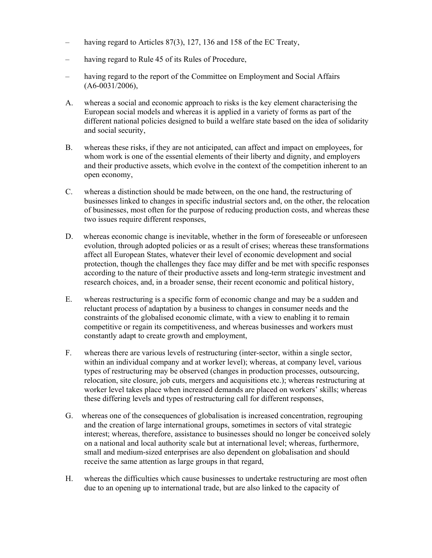- having regard to Articles 87(3), 127, 136 and 158 of the EC Treaty,
- having regard to Rule 45 of its Rules of Procedure,
- having regard to the report of the Committee on Employment and Social Affairs  $(A6-0031/2006),$
- A. whereas a social and economic approach to risks is the key element characterising the European social models and whereas it is applied in a variety of forms as part of the different national policies designed to build a welfare state based on the idea of solidarity and social security,
- B. whereas these risks, if they are not anticipated, can affect and impact on employees, for whom work is one of the essential elements of their liberty and dignity, and employers and their productive assets, which evolve in the context of the competition inherent to an open economy,
- C. whereas a distinction should be made between, on the one hand, the restructuring of businesses linked to changes in specific industrial sectors and, on the other, the relocation of businesses, most often for the purpose of reducing production costs, and whereas these two issues require different responses,
- D. whereas economic change is inevitable, whether in the form of foreseeable or unforeseen evolution, through adopted policies or as a result of crises; whereas these transformations affect all European States, whatever their level of economic development and social protection, though the challenges they face may differ and be met with specific responses according to the nature of their productive assets and long-term strategic investment and research choices, and, in a broader sense, their recent economic and political history,
- E. whereas restructuring is a specific form of economic change and may be a sudden and reluctant process of adaptation by a business to changes in consumer needs and the constraints of the globalised economic climate, with a view to enabling it to remain competitive or regain its competitiveness, and whereas businesses and workers must constantly adapt to create growth and employment,
- F. whereas there are various levels of restructuring (inter-sector, within a single sector, within an individual company and at worker level); whereas, at company level, various types of restructuring may be observed (changes in production processes, outsourcing, relocation, site closure, job cuts, mergers and acquisitions etc.); whereas restructuring at worker level takes place when increased demands are placed on workers' skills; whereas these differing levels and types of restructuring call for different responses,
- G. whereas one of the consequences of globalisation is increased concentration, regrouping and the creation of large international groups, sometimes in sectors of vital strategic interest; whereas, therefore, assistance to businesses should no longer be conceived solely on a national and local authority scale but at international level; whereas, furthermore, small and medium-sized enterprises are also dependent on globalisation and should receive the same attention as large groups in that regard,
- H. whereas the difficulties which cause businesses to undertake restructuring are most often due to an opening up to international trade, but are also linked to the capacity of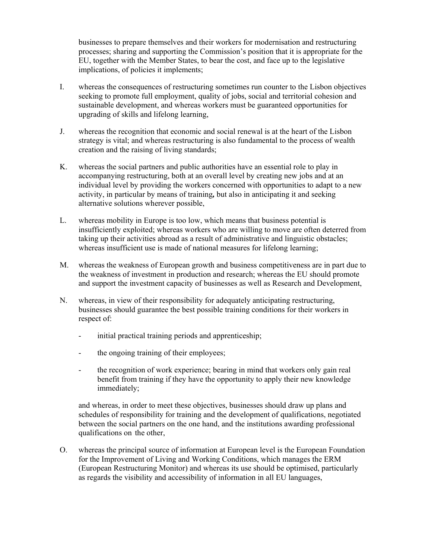businesses to prepare themselves and their workers for modernisation and restructuring processes; sharing and supporting the Commission's position that it is appropriate for the EU, together with the Member States, to bear the cost, and face up to the legislative implications, of policies it implements;

- I. whereas the consequences of restructuring sometimes run counter to the Lisbon objectives seeking to promote full employment, quality of jobs, social and territorial cohesion and sustainable development, and whereas workers must be guaranteed opportunities for upgrading of skills and lifelong learning,
- J. whereas the recognition that economic and social renewal is at the heart of the Lisbon strategy is vital; and whereas restructuring is also fundamental to the process of wealth creation and the raising of living standards;
- K. whereas the social partners and public authorities have an essential role to play in accompanying restructuring, both at an overall level by creating new jobs and at an individual level by providing the workers concerned with opportunities to adapt to a new activity, in particular by means of training, but also in anticipating it and seeking alternative solutions wherever possible,
- L. whereas mobility in Europe is too low, which means that business potential is insufficiently exploited; whereas workers who are willing to move are often deterred from taking up their activities abroad as a result of administrative and linguistic obstacles; whereas insufficient use is made of national measures for lifelong learning;
- M. whereas the weakness of European growth and business competitiveness are in part due to the weakness of investment in production and research; whereas the EU should promote and support the investment capacity of businesses as well as Research and Development,
- N. whereas, in view of their responsibility for adequately anticipating restructuring, businesses should guarantee the best possible training conditions for their workers in respect of:
	- initial practical training periods and apprenticeship;
	- the ongoing training of their employees;
	- the recognition of work experience; bearing in mind that workers only gain real benefit from training if they have the opportunity to apply their new knowledge immediately;

and whereas, in order to meet these objectives, businesses should draw up plans and schedules of responsibility for training and the development of qualifications, negotiated between the social partners on the one hand, and the institutions awarding professional qualifications on the other,

O. whereas the principal source of information at European level is the European Foundation for the Improvement of Living and Working Conditions, which manages the ERM (European Restructuring Monitor) and whereas its use should be optimised, particularly as regards the visibility and accessibility of information in all EU languages,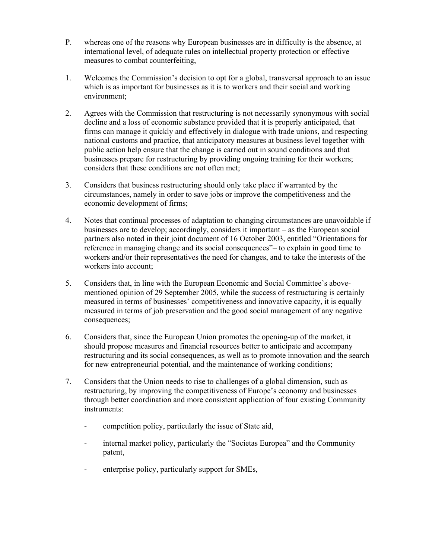- P. whereas one of the reasons why European businesses are in difficulty is the absence, at international level, of adequate rules on intellectual property protection or effective measures to combat counterfeiting,
- 1. Welcomes the Commission's decision to opt for a global, transversal approach to an issue which is as important for businesses as it is to workers and their social and working environment;
- 2. Agrees with the Commission that restructuring is not necessarily synonymous with social decline and a loss of economic substance provided that it is properly anticipated, that firms can manage it quickly and effectively in dialogue with trade unions, and respecting national customs and practice, that anticipatory measures at business level together with public action help ensure that the change is carried out in sound conditions and that businesses prepare for restructuring by providing ongoing training for their workers; considers that these conditions are not often met;
- 3. Considers that business restructuring should only take place if warranted by the circumstances, namely in order to save jobs or improve the competitiveness and the economic development of firms;
- 4. Notes that continual processes of adaptation to changing circumstances are unavoidable if businesses are to develop; accordingly, considers it important – as the European social partners also noted in their joint document of 16 October 2003, entitled "Orientations for reference in managing change and its social consequences"– to explain in good time to workers and/or their representatives the need for changes, and to take the interests of the workers into account;
- 5. Considers that, in line with the European Economic and Social Committee's abovementioned opinion of 29 September 2005, while the success of restructuring is certainly measured in terms of businesses' competitiveness and innovative capacity, it is equally measured in terms of job preservation and the good social management of any negative consequences;
- 6. Considers that, since the European Union promotes the opening-up of the market, it should propose measures and financial resources better to anticipate and accompany restructuring and its social consequences, as well as to promote innovation and the search for new entrepreneurial potential, and the maintenance of working conditions;
- 7. Considers that the Union needs to rise to challenges of a global dimension, such as restructuring, by improving the competitiveness of Europe's economy and businesses through better coordination and more consistent application of four existing Community instruments:
	- competition policy, particularly the issue of State aid,
	- internal market policy, particularly the "Societas Europea" and the Community patent,
	- enterprise policy, particularly support for SMEs,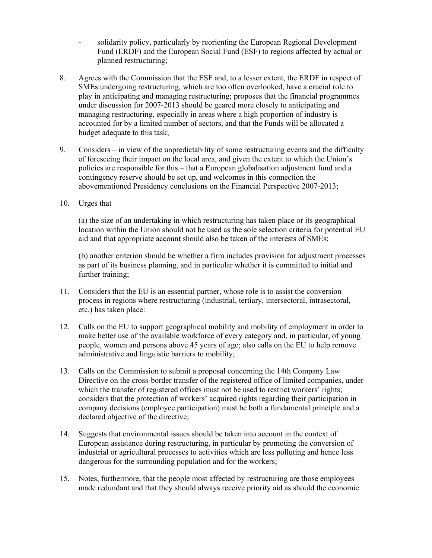- solidarity policy, particularly by reorienting the European Regional Development Fund (ERDF) and the European Social Fund (ESF) to regions affected by actual or planned restructuring;
- 8. Agrees with the Commission that the ESF and, to a lesser extent, the ERDF in respect of SMEs undergoing restructuring, which are too often overlooked, have a crucial role to play in anticipating and managing restructuring; proposes that the financial programmes under discussion for 2007-2013 should be geared more closely to anticipating and managing restructuring, especially in areas where a high proportion of industry is accounted for by a limited number of sectors, and that the Funds will be allocated a budget adequate to this task;
- 9. Considers in view of the unpredictability of some restructuring events and the difficulty of foreseeing their impact on the local area, and given the extent to which the Union's policies are responsible for this – that a European globalisation adjustment fund and a contingency reserve should be set up, and welcomes in this connection the abovementioned Presidency conclusions on the Financial Perspective 2007-2013;
- 10. Urges that

(a) the size of an undertaking in which restructuring has taken place or its geographical location within the Union should not be used as the sole selection criteria for potential EU aid and that appropriate account should also be taken of the interests of SMEs;

(b) another criterion should be whether a firm includes provision for adjustment processes as part of its business planning, and in particular whether it is committed to initial and further training;

- 11. Considers that the EU is an essential partner, whose role is to assist the conversion process in regions where restructuring (industrial, tertiary, intersectoral, intrasectoral, etc.) has taken place:
- 12. Calls on the EU to support geographical mobility and mobility of employment in order to make better use of the available workforce of every category and, in particular, of young people, women and persons above 45 years of age; also calls on the EU to help remove administrative and linguistic barriers to mobility;
- 13. Calls on the Commission to submit a proposal concerning the 14th Company Law Directive on the cross-border transfer of the registered office of limited companies, under which the transfer of registered offices must not be used to restrict workers' rights; considers that the protection of workers' acquired rights regarding their participation in company decisions (employee participation) must be both a fundamental principle and a declared objective of the directive;
- 14. Suggests that environmental issues should be taken into account in the context of European assistance during restructuring, in particular by promoting the conversion of industrial or agricultural processes to activities which are less polluting and hence less dangerous for the surrounding population and for the workers;
- 15. Notes, furthermore, that the people most affected by restructuring are those employees made redundant and that they should always receive priority aid as should the economic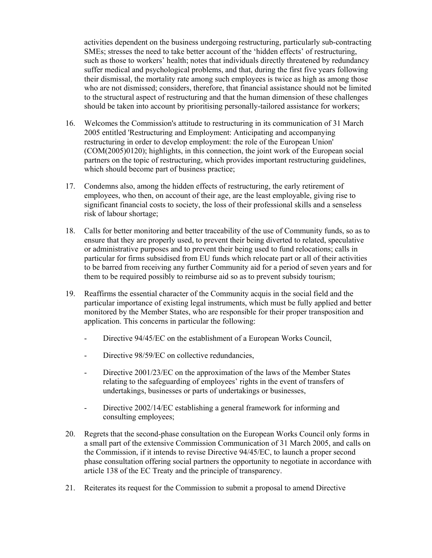activities dependent on the business undergoing restructuring, particularly sub-contracting SMEs; stresses the need to take better account of the 'hidden effects' of restructuring, such as those to workers' health; notes that individuals directly threatened by redundancy suffer medical and psychological problems, and that, during the first five years following their dismissal, the mortality rate among such employees is twice as high as among those who are not dismissed; considers, therefore, that financial assistance should not be limited to the structural aspect of restructuring and that the human dimension of these challenges should be taken into account by prioritising personally-tailored assistance for workers;

- 16. Welcomes the Commission's attitude to restructuring in its communication of 31 March 2005 entitled 'Restructuring and Employment: Anticipating and accompanying restructuring in order to develop employment: the role of the European Union' (COM(2005)0120); highlights, in this connection, the joint work of the European social partners on the topic of restructuring, which provides important restructuring guidelines, which should become part of business practice;
- 17. Condemns also, among the hidden effects of restructuring, the early retirement of employees, who then, on account of their age, are the least employable, giving rise to significant financial costs to society, the loss of their professional skills and a senseless risk of labour shortage;
- 18. Calls for better monitoring and better traceability of the use of Community funds, so as to ensure that they are properly used, to prevent their being diverted to related, speculative or administrative purposes and to prevent their being used to fund relocations; calls in particular for firms subsidised from EU funds which relocate part or all of their activities to be barred from receiving any further Community aid for a period of seven years and for them to be required possibly to reimburse aid so as to prevent subsidy tourism;
- 19. Reaffirms the essential character of the Community acquis in the social field and the particular importance of existing legal instruments, which must be fully applied and better monitored by the Member States, who are responsible for their proper transposition and application. This concerns in particular the following:
	- Directive 94/45/EC on the establishment of a European Works Council,
	- Directive 98/59/EC on collective redundancies,
	- Directive 2001/23/EC on the approximation of the laws of the Member States relating to the safeguarding of employees' rights in the event of transfers of undertakings, businesses or parts of undertakings or businesses,
	- Directive 2002/14/EC establishing a general framework for informing and consulting employees;
- 20. Regrets that the second-phase consultation on the European Works Council only forms in a small part of the extensive Commission Communication of 31 March 2005, and calls on the Commission, if it intends to revise Directive 94/45/EC, to launch a proper second phase consultation offering social partners the opportunity to negotiate in accordance with article 138 of the EC Treaty and the principle of transparency.
- 21. Reiterates its request for the Commission to submit a proposal to amend Directive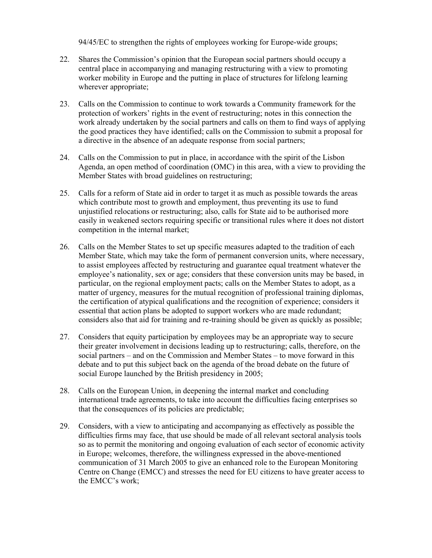94/45/EC to strengthen the rights of employees working for Europe-wide groups;

- 22. Shares the Commission's opinion that the European social partners should occupy a central place in accompanying and managing restructuring with a view to promoting worker mobility in Europe and the putting in place of structures for lifelong learning wherever appropriate;
- 23. Calls on the Commission to continue to work towards a Community framework for the protection of workers' rights in the event of restructuring; notes in this connection the work already undertaken by the social partners and calls on them to find ways of applying the good practices they have identified; calls on the Commission to submit a proposal for a directive in the absence of an adequate response from social partners;
- 24. Calls on the Commission to put in place, in accordance with the spirit of the Lisbon Agenda, an open method of coordination (OMC) in this area, with a view to providing the Member States with broad guidelines on restructuring;
- 25. Calls for a reform of State aid in order to target it as much as possible towards the areas which contribute most to growth and employment, thus preventing its use to fund unjustified relocations or restructuring; also, calls for State aid to be authorised more easily in weakened sectors requiring specific or transitional rules where it does not distort competition in the internal market;
- 26. Calls on the Member States to set up specific measures adapted to the tradition of each Member State, which may take the form of permanent conversion units, where necessary, to assist employees affected by restructuring and guarantee equal treatment whatever the employee's nationality, sex or age; considers that these conversion units may be based, in particular, on the regional employment pacts; calls on the Member States to adopt, as a matter of urgency, measures for the mutual recognition of professional training diplomas, the certification of atypical qualifications and the recognition of experience; considers it essential that action plans be adopted to support workers who are made redundant; considers also that aid for training and re-training should be given as quickly as possible;
- 27. Considers that equity participation by employees may be an appropriate way to secure their greater involvement in decisions leading up to restructuring; calls, therefore, on the social partners – and on the Commission and Member States – to move forward in this debate and to put this subject back on the agenda of the broad debate on the future of social Europe launched by the British presidency in 2005;
- 28. Calls on the European Union, in deepening the internal market and concluding international trade agreements, to take into account the difficulties facing enterprises so that the consequences of its policies are predictable;
- 29. Considers, with a view to anticipating and accompanying as effectively as possible the difficulties firms may face, that use should be made of all relevant sectoral analysis tools so as to permit the monitoring and ongoing evaluation of each sector of economic activity in Europe; welcomes, therefore, the willingness expressed in the above-mentioned communication of 31 March 2005 to give an enhanced role to the European Monitoring Centre on Change (EMCC) and stresses the need for EU citizens to have greater access to the EMCC's work;